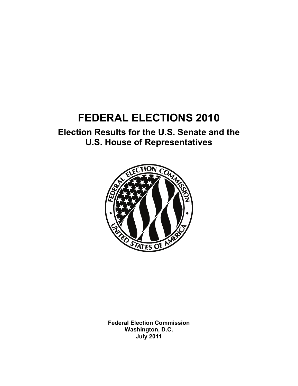# **FEDERAL ELECTIONS 2010**

## **Election Results for the U.S. Senate and the U.S. House of Representatives**



**Federal Election Commission Washington, D.C. July 2011**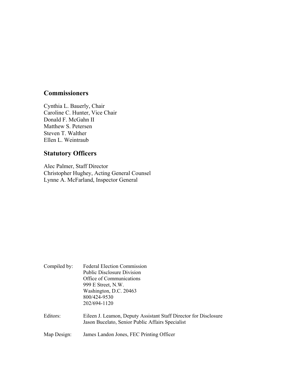### **Commissioners**

Cynthia L. Bauerly, Chair Caroline C. Hunter, Vice Chair Donald F. McGahn II Matthew S. Petersen Steven T. Walther Ellen L. Weintraub

## **Statutory Officers**

Alec Palmer, Staff Director Christopher Hughey, Acting General Counsel Lynne A. McFarland, Inspector General

| Compiled by: | <b>Federal Election Commission</b><br><b>Public Disclosure Division</b><br>Office of Communications<br>999 E Street, N.W.<br>Washington, D.C. 20463<br>800/424-9530<br>202/694-1120 |
|--------------|-------------------------------------------------------------------------------------------------------------------------------------------------------------------------------------|
| Editors:     | Eileen J. Leamon, Deputy Assistant Staff Director for Disclosure<br>Jason Bucelato, Senior Public Affairs Specialist                                                                |
| Map Design:  | James Landon Jones, FEC Printing Officer                                                                                                                                            |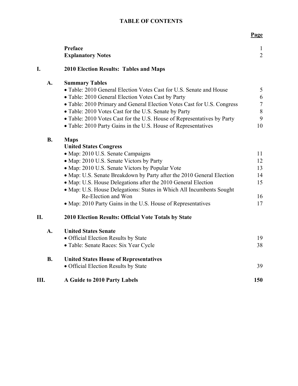#### **TABLE OF CONTENTS**

|           |                                                                         | <b>Page</b>                    |
|-----------|-------------------------------------------------------------------------|--------------------------------|
|           | <b>Preface</b><br><b>Explanatory Notes</b>                              | $\mathbf{1}$<br>$\overline{2}$ |
| I.        | <b>2010 Election Results: Tables and Maps</b>                           |                                |
| A.        | <b>Summary Tables</b>                                                   |                                |
|           | • Table: 2010 General Election Votes Cast for U.S. Senate and House     | 5                              |
|           | • Table: 2010 General Election Votes Cast by Party                      | 6                              |
|           | • Table: 2010 Primary and General Election Votes Cast for U.S. Congress | $\boldsymbol{7}$               |
|           | • Table: 2010 Votes Cast for the U.S. Senate by Party                   | $\,8\,$                        |
|           | • Table: 2010 Votes Cast for the U.S. House of Representatives by Party | 9                              |
|           | • Table: 2010 Party Gains in the U.S. House of Representatives          | 10                             |
| <b>B.</b> | <b>Maps</b>                                                             |                                |
|           | <b>United States Congress</b>                                           |                                |
|           | • Map: 2010 U.S. Senate Campaigns                                       | 11                             |
|           | • Map: 2010 U.S. Senate Victors by Party                                | 12                             |
|           | • Map: 2010 U.S. Senate Victors by Popular Vote                         | 13                             |
|           | • Map: U.S. Senate Breakdown by Party after the 2010 General Election   | 14                             |
|           | • Map: U.S. House Delegations after the 2010 General Election           | 15                             |
|           | • Map: U.S. House Delegations: States in Which All Incumbents Sought    |                                |
|           | Re-Election and Won                                                     | 16                             |
|           | • Map: 2010 Party Gains in the U.S. House of Representatives            | 17                             |
| II.       | <b>2010 Election Results: Official Vote Totals by State</b>             |                                |
| A.        | <b>United States Senate</b>                                             |                                |
|           | • Official Election Results by State                                    | 19                             |
|           | • Table: Senate Races: Six Year Cycle                                   | 38                             |
| <b>B.</b> | <b>United States House of Representatives</b>                           |                                |
|           | • Official Election Results by State                                    | 39                             |
| Ш.        | A Guide to 2010 Party Labels                                            | 150                            |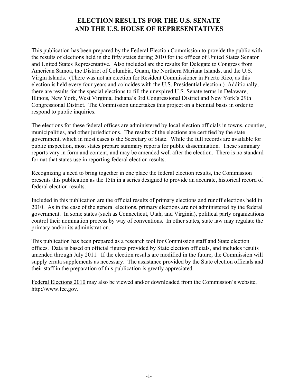#### **ELECTION RESULTS FOR THE U.S. SENATE AND THE U.S. HOUSE OF REPRESENTATIVES**

This publication has been prepared by the Federal Election Commission to provide the public with the results of elections held in the fifty states during 2010 for the offices of United States Senator and United States Representative. Also included are the results for Delegate to Congress from American Samoa, the District of Columbia, Guam, the Northern Mariana Islands, and the U.S. Virgin Islands. (There was not an election for Resident Commissioner in Puerto Rico, as this election is held every four years and coincides with the U.S. Presidential election.) Additionally, there are results for the special elections to fill the unexpired U.S. Senate terms in Delaware, Illinois, New York, West Virginia, Indiana's 3rd Congressional District and New York's 29th Congressional District. The Commission undertakes this project on a biennial basis in order to respond to public inquiries.

The elections for these federal offices are administered by local election officials in towns, counties, municipalities, and other jurisdictions. The results of the elections are certified by the state government, which in most cases is the Secretary of State. While the full records are available for public inspection, most states prepare summary reports for public dissemination. These summary reports vary in form and content, and may be amended well after the election. There is no standard format that states use in reporting federal election results.

Recognizing a need to bring together in one place the federal election results, the Commission presents this publication as the 15th in a series designed to provide an accurate, historical record of federal election results.

Included in this publication are the official results of primary elections and runoff elections held in 2010. As in the case of the general elections, primary elections are not administered by the federal government. In some states (such as Connecticut, Utah, and Virginia), political party organizations control their nomination process by way of conventions. In other states, state law may regulate the primary and/or its administration.

This publication has been prepared as a research tool for Commission staff and State election offices. Data is based on official figures provided by State election officials, and includes results amended through July 2011*.* If the election results are modified in the future, the Commission will supply errata supplements as necessary. The assistance provided by the State election officials and their staff in the preparation of this publication is greatly appreciated.

Federal Elections 2010 may also be viewed and/or downloaded from the Commission's website, http://www.fec.gov.